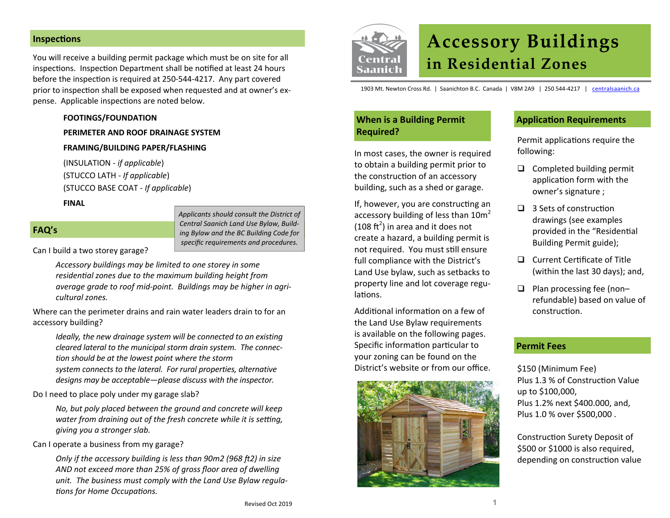### **InspecƟons**

You will receive a building permit package which must be on site for all inspections. Inspection Department shall be notified at least 24 hours before the inspection is required at 250-544-4217. Any part covered prior to inspection shall be exposed when requested and at owner's expense. Applicable inspections are noted below.

**FOOTINGS/FOUNDATION**

**PERIMETER AND ROOF DRAINAGE SYSTEM**

**FRAMING/BUILDING PAPER/FLASHING**

(INSULATION ‐ *if applicable*) (STUCCO LATH ‐ *If applicable*) (STUCCO BASE COAT ‐ *If applicable*)

**FINAL**

### **FAQ's**

*Applicants should consult the District of Central Saanich Land Use Bylaw, Build‐ ing Bylaw and the BC Building Code for specific requirements and procedures.*

Can I build a two storey garage?

*Accessory buildings may be limited to one storey in some residenƟal zones due to the maximum building height from average grade to roof mid‐point. Buildings may be higher in agri‐ cultural zones.* 

Where can the perimeter drains and rain water leaders drain to for an accessory building?

*Ideally, the new drainage system will be connected to an existing cleared lateral to the municipal storm drain system. The connec‐ tion should be at the lowest point where the storm system connects to the lateral. For rural properties, alternative designs may be acceptable—please discuss with the inspector.* 

Do I need to place poly under my garage slab?

*No, but poly placed between the ground and concrete will keep water from draining out of the fresh concrete while it is setting, giving you a stronger slab.* 

Can I operate a business from my garage?

*Only if the accessory building is less than 90m2 (968 ft2) in size AND not exceed more than 25% of gross floor area of dwelling unit. The business must comply with the Land Use Bylaw regula‐ Ɵons for Home OccupaƟons.* 



# **Accessory Buildings in Residential Zones**

1903 Mt. Newton Cross Rd. | Saanichton B.C. Canada | V8M 2A9 | 250 544‐4217 | centralsaanich.ca

## **When is <sup>a</sup> Building Permit Required?**

In most cases, the owner is required to obtain a building permit prior to the construction of an accessory building, such as a shed or garage.

If, however, you are constructing an accessory building of less than  $10m^2$ (108  $\text{ft}^2$ ) in area and it does not create a hazard, a building permit is not required. You must still ensure full compliance with the District's Land Use bylaw, such as setbacks to property line and lot coverage regu‐ lations.

Additional information on a few of the Land Use Bylaw requirements is available on the following pages. Specific information particular to your zoning can be found on the District's website or from our office.



## **ApplicaƟon Requirements**

Permit applications require the following:

- $\Box$  Completed building permit application form with the owner's signature ;
- $\Box$  3 Sets of construction drawings (see examples provided in the "Residential Building Permit guide);
- $\Box$  Current Certificate of Title (within the last 30 days); and,
- $\Box$  Plan processing fee (nonrefundable) based on value of construcƟon.

#### **Permit Fees**

\$150 (Minimum Fee) Plus 1.3 % of Construction Value up to \$100,000, Plus 1.2% next \$400.000, and, Plus 1.0 % over \$500,000 .

Construction Surety Deposit of \$500 or \$1000 is also required, depending on construction value